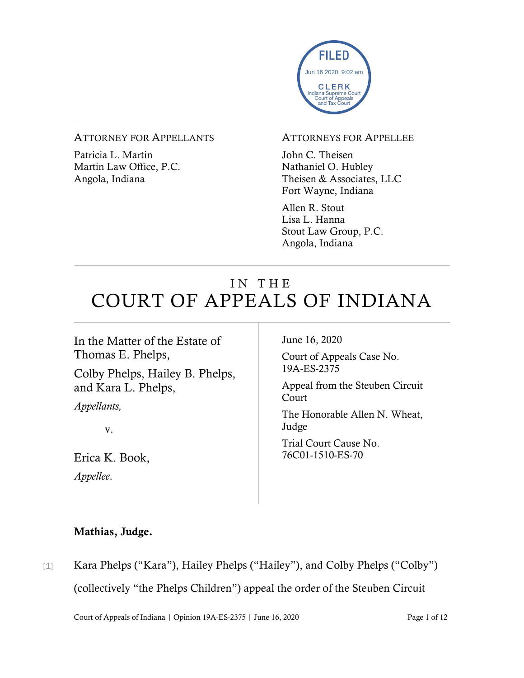

#### ATTORNEY FOR APPELLANTS

Patricia L. Martin Martin Law Office, P.C. Angola, Indiana

#### ATTORNEYS FOR APPELLEE

John C. Theisen Nathaniel O. Hubley Theisen & Associates, LLC Fort Wayne, Indiana

Allen R. Stout Lisa L. Hanna Stout Law Group, P.C. Angola, Indiana

# IN THE COURT OF APPEALS OF INDIANA

In the Matter of the Estate of Thomas E. Phelps, Colby Phelps, Hailey B. Phelps, and Kara L. Phelps, *Appellants,* v.

Erica K. Book, *Appellee*.

June 16, 2020

Court of Appeals Case No. 19A-ES-2375

Appeal from the Steuben Circuit Court

The Honorable Allen N. Wheat, Judge

Trial Court Cause No. 76C01-1510-ES-70

### Mathias, Judge.

- 
- [1] Kara Phelps ("Kara"), Hailey Phelps ("Hailey"), and Colby Phelps ("Colby") (collectively "the Phelps Children") appeal the order of the Steuben Circuit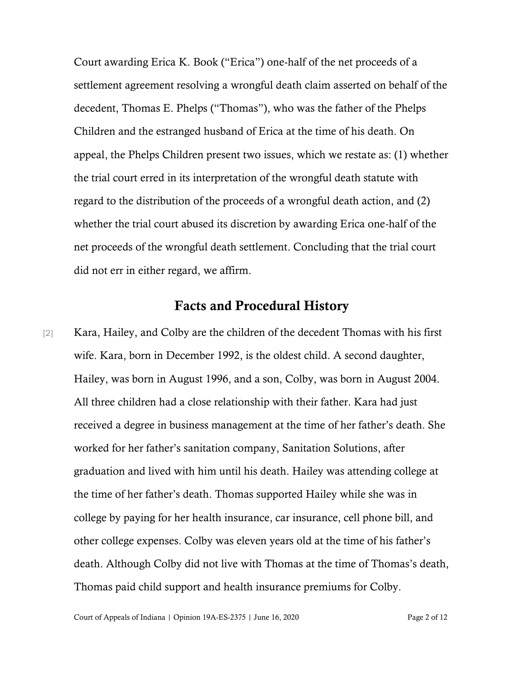Court awarding Erica K. Book ("Erica") one-half of the net proceeds of a settlement agreement resolving a wrongful death claim asserted on behalf of the decedent, Thomas E. Phelps ("Thomas"), who was the father of the Phelps Children and the estranged husband of Erica at the time of his death. On appeal, the Phelps Children present two issues, which we restate as: (1) whether the trial court erred in its interpretation of the wrongful death statute with regard to the distribution of the proceeds of a wrongful death action, and (2) whether the trial court abused its discretion by awarding Erica one-half of the net proceeds of the wrongful death settlement. Concluding that the trial court did not err in either regard, we affirm.

### Facts and Procedural History

[2] Kara, Hailey, and Colby are the children of the decedent Thomas with his first wife. Kara, born in December 1992, is the oldest child. A second daughter, Hailey, was born in August 1996, and a son, Colby, was born in August 2004. All three children had a close relationship with their father. Kara had just received a degree in business management at the time of her father's death. She worked for her father's sanitation company, Sanitation Solutions, after graduation and lived with him until his death. Hailey was attending college at the time of her father's death. Thomas supported Hailey while she was in college by paying for her health insurance, car insurance, cell phone bill, and other college expenses. Colby was eleven years old at the time of his father's death. Although Colby did not live with Thomas at the time of Thomas's death, Thomas paid child support and health insurance premiums for Colby.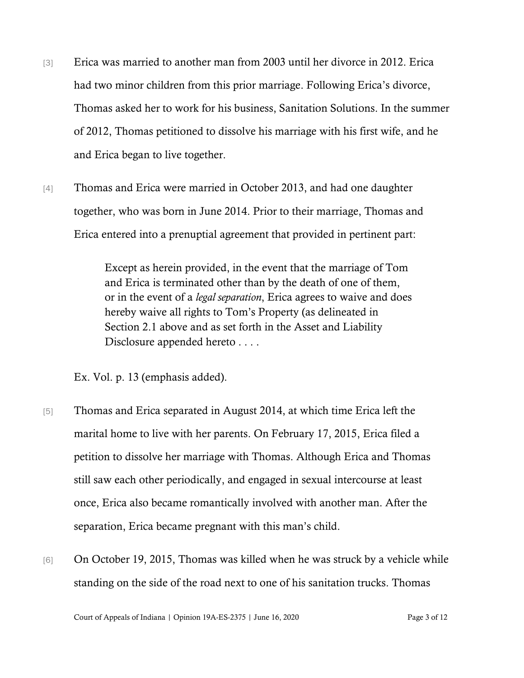- [3] Erica was married to another man from 2003 until her divorce in 2012. Erica had two minor children from this prior marriage. Following Erica's divorce, Thomas asked her to work for his business, Sanitation Solutions. In the summer of 2012, Thomas petitioned to dissolve his marriage with his first wife, and he and Erica began to live together.
- [4] Thomas and Erica were married in October 2013, and had one daughter together, who was born in June 2014. Prior to their marriage, Thomas and Erica entered into a prenuptial agreement that provided in pertinent part:

Except as herein provided, in the event that the marriage of Tom and Erica is terminated other than by the death of one of them, or in the event of a *legal separation*, Erica agrees to waive and does hereby waive all rights to Tom's Property (as delineated in Section 2.1 above and as set forth in the Asset and Liability Disclosure appended hereto . . . .

Ex. Vol. p. 13 (emphasis added).

- [5] Thomas and Erica separated in August 2014, at which time Erica left the marital home to live with her parents. On February 17, 2015, Erica filed a petition to dissolve her marriage with Thomas. Although Erica and Thomas still saw each other periodically, and engaged in sexual intercourse at least once, Erica also became romantically involved with another man. After the separation, Erica became pregnant with this man's child.
- [6] On October 19, 2015, Thomas was killed when he was struck by a vehicle while standing on the side of the road next to one of his sanitation trucks. Thomas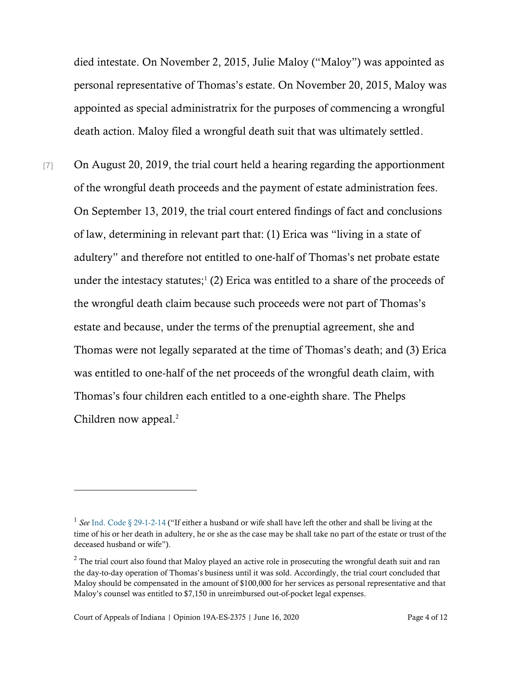died intestate. On November 2, 2015, Julie Maloy ("Maloy") was appointed as personal representative of Thomas's estate. On November 20, 2015, Maloy was appointed as special administratrix for the purposes of commencing a wrongful death action. Maloy filed a wrongful death suit that was ultimately settled.

[7] On August 20, 2019, the trial court held a hearing regarding the apportionment of the wrongful death proceeds and the payment of estate administration fees. On September 13, 2019, the trial court entered findings of fact and conclusions of law, determining in relevant part that: (1) Erica was "living in a state of adultery" and therefore not entitled to one-half of Thomas's net probate estate under the intestacy statutes; $(2)$  Erica was entitled to a share of the proceeds of the wrongful death claim because such proceeds were not part of Thomas's estate and because, under the terms of the prenuptial agreement, she and Thomas were not legally separated at the time of Thomas's death; and (3) Erica was entitled to one-half of the net proceeds of the wrongful death claim, with Thomas's four children each entitled to a one-eighth share. The Phelps Children now appeal.<sup>2</sup>

<sup>&</sup>lt;sup>1</sup> See [Ind. Code § 29-1-2-14](https://www.westlaw.com/Document/N5B900EA0816111DB8132CD13D2280436/View/FullText.html?transitionType=Default&contextData=(sc.Default)&VR=3.0&RS=da3.0) ("If either a husband or wife shall have left the other and shall be living at the time of his or her death in adultery, he or she as the case may be shall take no part of the estate or trust of the deceased husband or wife").

<sup>&</sup>lt;sup>2</sup> The trial court also found that Maloy played an active role in prosecuting the wrongful death suit and ran the day-to-day operation of Thomas's business until it was sold. Accordingly, the trial court concluded that Maloy should be compensated in the amount of \$100,000 for her services as personal representative and that Maloy's counsel was entitled to \$7,150 in unreimbursed out-of-pocket legal expenses.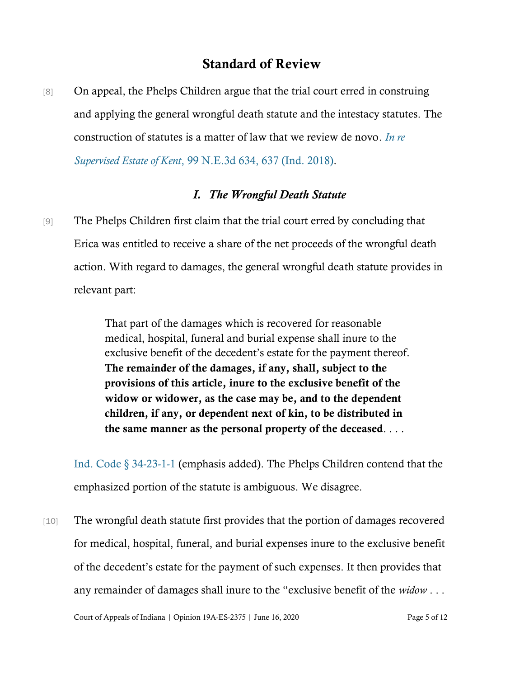# Standard of Review

[8] On appeal, the Phelps Children argue that the trial court erred in construing and applying the general wrongful death statute and the intestacy statutes. The construction of statutes is a matter of law that we review de novo. *[In re](https://www.westlaw.com/Document/I29849090744111e8a5b89e7029628dd3/View/FullText.html?transitionType=Default&contextData=(sc.Default)&VR=3.0&RS=da3.0&fragmentIdentifier=co_pp_sp_7902_637)  [Supervised Estate of Kent](https://www.westlaw.com/Document/I29849090744111e8a5b89e7029628dd3/View/FullText.html?transitionType=Default&contextData=(sc.Default)&VR=3.0&RS=da3.0&fragmentIdentifier=co_pp_sp_7902_637)*, 99 N.E.3d 634, 637 (Ind. 2018).

## *I. The Wrongful Death Statute*

[9] The Phelps Children first claim that the trial court erred by concluding that Erica was entitled to receive a share of the net proceeds of the wrongful death action. With regard to damages, the general wrongful death statute provides in relevant part:

> That part of the damages which is recovered for reasonable medical, hospital, funeral and burial expense shall inure to the exclusive benefit of the decedent's estate for the payment thereof. The remainder of the damages, if any, shall, subject to the provisions of this article, inure to the exclusive benefit of the widow or widower, as the case may be, and to the dependent children, if any, or dependent next of kin, to be distributed in the same manner as the personal property of the deceased. . . .

[Ind. Code § 34-23-1-1](https://www.westlaw.com/Document/N2B3566E0816D11DB8132CD13D2280436/View/FullText.html?transitionType=Default&contextData=(sc.Default)&VR=3.0&RS=da3.0) (emphasis added). The Phelps Children contend that the emphasized portion of the statute is ambiguous. We disagree.

[10] The wrongful death statute first provides that the portion of damages recovered for medical, hospital, funeral, and burial expenses inure to the exclusive benefit of the decedent's estate for the payment of such expenses. It then provides that any remainder of damages shall inure to the "exclusive benefit of the *widow* . . .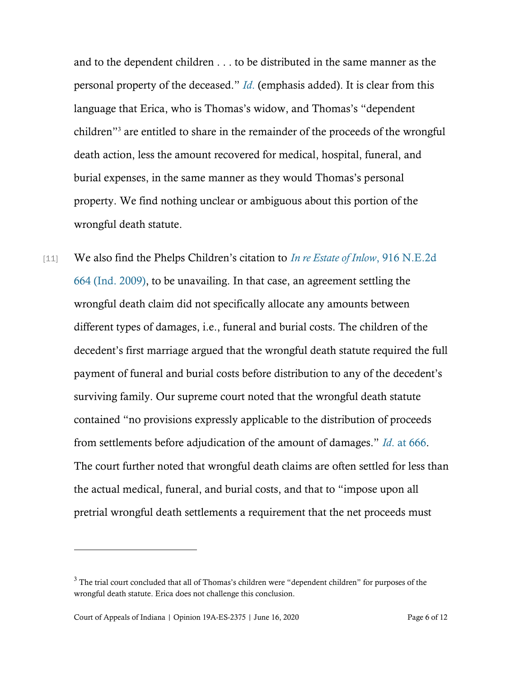and to the dependent children . . . to be distributed in the same manner as the personal property of the deceased." *[Id](https://www.westlaw.com/Document/N2B3566E0816D11DB8132CD13D2280436/View/FullText.html?transitionType=Default&contextData=(sc.Default)&VR=3.0&RS=da3.0)*. (emphasis added). It is clear from this language that Erica, who is Thomas's widow, and Thomas's "dependent children"<sup>3</sup> are entitled to share in the remainder of the proceeds of the wrongful death action, less the amount recovered for medical, hospital, funeral, and burial expenses, in the same manner as they would Thomas's personal property. We find nothing unclear or ambiguous about this portion of the wrongful death statute.

[11] We also find the Phelps Children's citation to *[In re Estate of Inlow](https://www.westlaw.com/Document/I52837414d4fb11de8bf6cd8525c41437/View/FullText.html?transitionType=Default&contextData=(sc.Default)&VR=3.0&RS=da3.0)*, 916 N.E.2d [664 \(Ind. 2009\),](https://www.westlaw.com/Document/I52837414d4fb11de8bf6cd8525c41437/View/FullText.html?transitionType=Default&contextData=(sc.Default)&VR=3.0&RS=da3.0) to be unavailing. In that case, an agreement settling the wrongful death claim did not specifically allocate any amounts between different types of damages, i.e., funeral and burial costs. The children of the decedent's first marriage argued that the wrongful death statute required the full payment of funeral and burial costs before distribution to any of the decedent's surviving family. Our supreme court noted that the wrongful death statute contained "no provisions expressly applicable to the distribution of proceeds from settlements before adjudication of the amount of damages." *Id*[. at 666.](https://www.westlaw.com/Document/I52837414d4fb11de8bf6cd8525c41437/View/FullText.html?transitionType=Default&contextData=(sc.Default)&VR=3.0&RS=da3.0&fragmentIdentifier=co_pp_sp_578_666) The court further noted that wrongful death claims are often settled for less than the actual medical, funeral, and burial costs, and that to "impose upon all pretrial wrongful death settlements a requirement that the net proceeds must

<sup>&</sup>lt;sup>3</sup> The trial court concluded that all of Thomas's children were "dependent children" for purposes of the wrongful death statute. Erica does not challenge this conclusion.

Court of Appeals of Indiana | Opinion 19A-ES-2375 | June 16, 2020 Page 6 of 12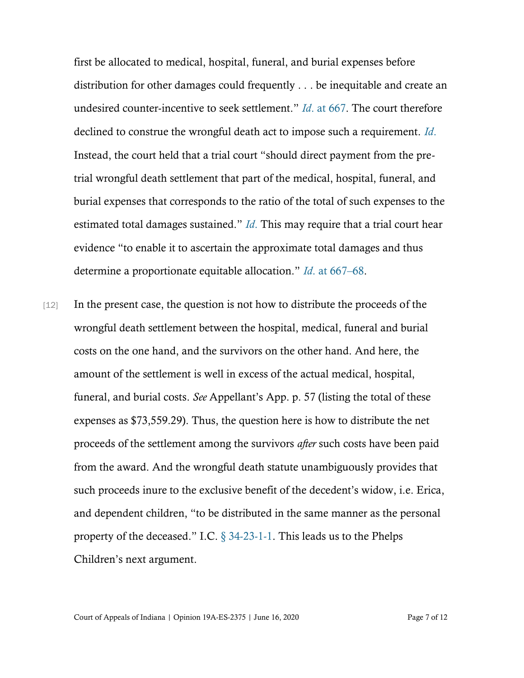first be allocated to medical, hospital, funeral, and burial expenses before distribution for other damages could frequently . . . be inequitable and create an undesired counter-incentive to seek settlement." *Id*[. at 667.](https://www.westlaw.com/Document/I52837414d4fb11de8bf6cd8525c41437/View/FullText.html?transitionType=Default&contextData=(sc.Default)&VR=3.0&RS=da3.0&fragmentIdentifier=co_pp_sp_578_667) The court therefore declined to construe the wrongful death act to impose such a requirement. *[Id](https://www.westlaw.com/Document/I52837414d4fb11de8bf6cd8525c41437/View/FullText.html?transitionType=Default&contextData=(sc.Default)&VR=3.0&RS=da3.0&fragmentIdentifier=co_pp_sp_578_667)*. Instead, the court held that a trial court "should direct payment from the pretrial wrongful death settlement that part of the medical, hospital, funeral, and burial expenses that corresponds to the ratio of the total of such expenses to the estimated total damages sustained." *[Id](https://www.westlaw.com/Document/I52837414d4fb11de8bf6cd8525c41437/View/FullText.html?transitionType=Default&contextData=(sc.Default)&VR=3.0&RS=da3.0&fragmentIdentifier=co_pp_sp_578_667)*. This may require that a trial court hear evidence "to enable it to ascertain the approximate total damages and thus determine a proportionate equitable allocation." *Id*[. at 667](https://www.westlaw.com/Document/I52837414d4fb11de8bf6cd8525c41437/View/FullText.html?transitionType=Default&contextData=(sc.Default)&VR=3.0&RS=da3.0&fragmentIdentifier=co_pp_sp_578_667)–68.

[12] In the present case, the question is not how to distribute the proceeds of the wrongful death settlement between the hospital, medical, funeral and burial costs on the one hand, and the survivors on the other hand. And here, the amount of the settlement is well in excess of the actual medical, hospital, funeral, and burial costs. *See* Appellant's App. p. 57 (listing the total of these expenses as \$73,559.29). Thus, the question here is how to distribute the net proceeds of the settlement among the survivors *after* such costs have been paid from the award. And the wrongful death statute unambiguously provides that such proceeds inure to the exclusive benefit of the decedent's widow, i.e. Erica, and dependent children, "to be distributed in the same manner as the personal property of the deceased." I.C. [§ 34-23-1-1.](https://www.westlaw.com/Document/N2B3566E0816D11DB8132CD13D2280436/View/FullText.html?transitionType=Default&contextData=(sc.Default)&VR=3.0&RS=da3.0) This leads us to the Phelps Children's next argument.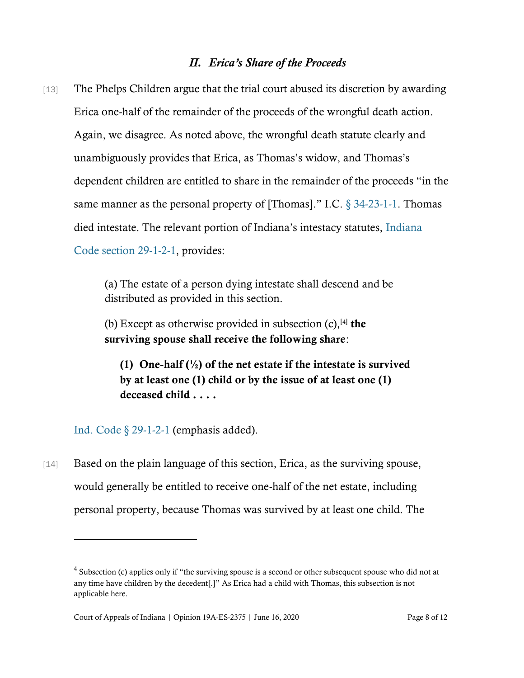#### *II. Erica's Share of the Proceeds*

[13] The Phelps Children argue that the trial court abused its discretion by awarding Erica one-half of the remainder of the proceeds of the wrongful death action. Again, we disagree. As noted above, the wrongful death statute clearly and unambiguously provides that Erica, as Thomas's widow, and Thomas's dependent children are entitled to share in the remainder of the proceeds "in the same manner as the personal property of [Thomas]." I.C. [§ 34-23-1-1.](https://www.westlaw.com/Document/N2B3566E0816D11DB8132CD13D2280436/View/FullText.html?transitionType=Default&contextData=(sc.Default)&VR=3.0&RS=da3.0) Thomas died intestate. The relevant portion of Indiana's intestacy statutes, [Indiana](https://www.westlaw.com/Document/N2547D87044AD11DE9A3AA540F580B7CB/View/FullText.html?transitionType=Default&contextData=(sc.Default)&VR=3.0&RS=da3.0)  [Code section 29-1-2-1,](https://www.westlaw.com/Document/N2547D87044AD11DE9A3AA540F580B7CB/View/FullText.html?transitionType=Default&contextData=(sc.Default)&VR=3.0&RS=da3.0) provides:

> (a) The estate of a person dying intestate shall descend and be distributed as provided in this section.

(b) Except as otherwise provided in subsection  $(c)$ ,  $[4]$  the surviving spouse shall receive the following share:

(1) One-half  $\binom{1}{2}$  of the net estate if the intestate is survived by at least one (1) child or by the issue of at least one (1) deceased child . . . .

[Ind. Code § 29-1-2-1](https://www.westlaw.com/Document/N2547D87044AD11DE9A3AA540F580B7CB/View/FullText.html?transitionType=Default&contextData=(sc.Default)&VR=3.0&RS=da3.0) (emphasis added).

[14] Based on the plain language of this section, Erica, as the surviving spouse, would generally be entitled to receive one-half of the net estate, including personal property, because Thomas was survived by at least one child. The

 $4$  Subsection (c) applies only if "the surviving spouse is a second or other subsequent spouse who did not at any time have children by the decedent[.]" As Erica had a child with Thomas, this subsection is not applicable here.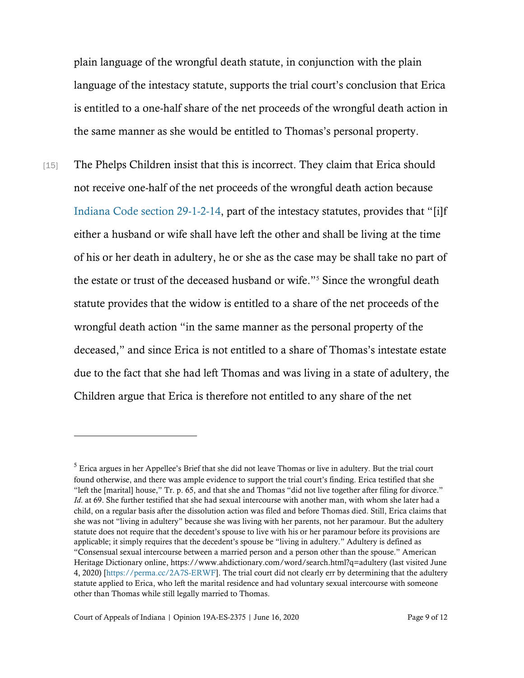plain language of the wrongful death statute, in conjunction with the plain language of the intestacy statute, supports the trial court's conclusion that Erica is entitled to a one-half share of the net proceeds of the wrongful death action in the same manner as she would be entitled to Thomas's personal property.

[15] The Phelps Children insist that this is incorrect. They claim that Erica should not receive one-half of the net proceeds of the wrongful death action because [Indiana Code section 29-1-2-14](https://www.westlaw.com/Document/N5B900EA0816111DB8132CD13D2280436/View/FullText.html?transitionType=Default&contextData=(sc.Default)&VR=3.0&RS=da3.0), part of the intestacy statutes, provides that "[i]f either a husband or wife shall have left the other and shall be living at the time of his or her death in adultery, he or she as the case may be shall take no part of the estate or trust of the deceased husband or wife."<sup>5</sup> Since the wrongful death statute provides that the widow is entitled to a share of the net proceeds of the wrongful death action "in the same manner as the personal property of the deceased," and since Erica is not entitled to a share of Thomas's intestate estate due to the fact that she had left Thomas and was living in a state of adultery, the Children argue that Erica is therefore not entitled to any share of the net

<sup>&</sup>lt;sup>5</sup> Erica argues in her Appellee's Brief that she did not leave Thomas or live in adultery. But the trial court found otherwise, and there was ample evidence to support the trial court's finding. Erica testified that she "left the [marital] house," Tr. p. 65, and that she and Thomas "did not live together after filing for divorce." *Id*. at 69. She further testified that she had sexual intercourse with another man, with whom she later had a child, on a regular basis after the dissolution action was filed and before Thomas died. Still, Erica claims that she was not "living in adultery" because she was living with her parents, not her paramour. But the adultery statute does not require that the decedent's spouse to live with his or her paramour before its provisions are applicable; it simply requires that the decedent's spouse be "living in adultery." Adultery is defined as "Consensual sexual intercourse between a married person and a person other than the spouse." American Heritage Dictionary online, https://www.ahdictionary.com/word/search.html?q=adultery (last visited June 4, 2020) [\[https://perma.cc/2A7S-ERWF\]](https://perma.cc/2A7S-ERWF). The trial court did not clearly err by determining that the adultery statute applied to Erica, who left the marital residence and had voluntary sexual intercourse with someone other than Thomas while still legally married to Thomas.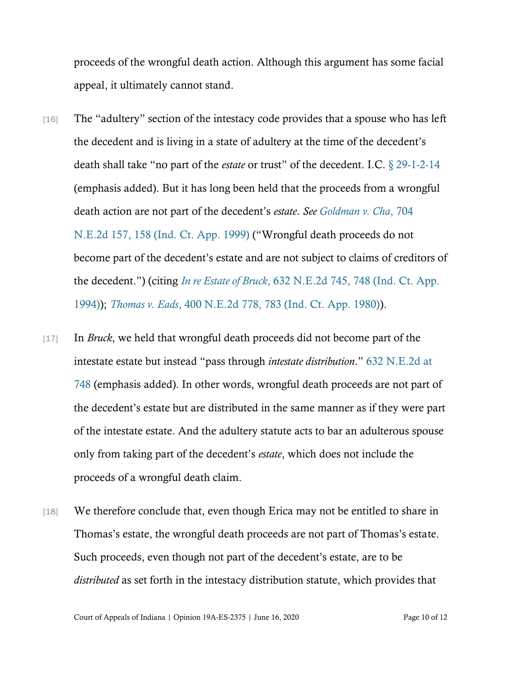proceeds of the wrongful death action. Although this argument has some facial appeal, it ultimately cannot stand.

- [16] The "adultery" section of the intestacy code provides that a spouse who has left the decedent and is living in a state of adultery at the time of the decedent's death shall take "no part of the *estate* or trust" of the decedent. I.C. [§ 29-1-2-14](https://www.westlaw.com/Document/N5B900EA0816111DB8132CD13D2280436/View/FullText.html?transitionType=Default&contextData=(sc.Default)&VR=3.0&RS=da3.0) (emphasis added). But it has long been held that the proceeds from a wrongful death action are not part of the decedent's *estate*. *See [Goldman v. Cha](https://www.westlaw.com/Document/I863e6d4ed3c011d9bf60c1d57ebc853e/View/FullText.html?transitionType=Default&contextData=(sc.Default)&VR=3.0&RS=da3.0&fragmentIdentifier=co_pp_sp_578_158)*, 704 [N.E.2d 157, 158 \(Ind. Ct. App. 1999\)](https://www.westlaw.com/Document/I863e6d4ed3c011d9bf60c1d57ebc853e/View/FullText.html?transitionType=Default&contextData=(sc.Default)&VR=3.0&RS=da3.0&fragmentIdentifier=co_pp_sp_578_158) ("Wrongful death proceeds do not become part of the decedent's estate and are not subject to claims of creditors of the decedent.") (citing *In re Estate of Bruck*[, 632 N.E.2d 745, 748 \(Ind. Ct. App.](https://www.westlaw.com/Document/I7206e796d46911d99439b076ef9ec4de/View/FullText.html?transitionType=Default&contextData=(sc.Default)&VR=3.0&RS=da3.0&fragmentIdentifier=co_pp_sp_578_748)  [1994\)\)](https://www.westlaw.com/Document/I7206e796d46911d99439b076ef9ec4de/View/FullText.html?transitionType=Default&contextData=(sc.Default)&VR=3.0&RS=da3.0&fragmentIdentifier=co_pp_sp_578_748); *Thomas v. Eads*[, 400 N.E.2d 778, 783 \(Ind. Ct. App. 1980\)\)](https://www.westlaw.com/Document/I2c9c2df0d34411d9a489ee624f1f6e1a/View/FullText.html?transitionType=Default&contextData=(sc.Default)&VR=3.0&RS=da3.0&fragmentIdentifier=co_pp_sp_578_783).
- [17] In *Bruck*, we held that wrongful death proceeds did not become part of the intestate estate but instead "pass through *intestate distribution*." [632 N.E.2d at](https://www.westlaw.com/Document/I7206e796d46911d99439b076ef9ec4de/View/FullText.html?transitionType=Default&contextData=(sc.Default)&VR=3.0&RS=da3.0&fragmentIdentifier=co_pp_sp_578_748)  [748](https://www.westlaw.com/Document/I7206e796d46911d99439b076ef9ec4de/View/FullText.html?transitionType=Default&contextData=(sc.Default)&VR=3.0&RS=da3.0&fragmentIdentifier=co_pp_sp_578_748) (emphasis added). In other words, wrongful death proceeds are not part of the decedent's estate but are distributed in the same manner as if they were part of the intestate estate. And the adultery statute acts to bar an adulterous spouse only from taking part of the decedent's *estate*, which does not include the proceeds of a wrongful death claim.
- [18] We therefore conclude that, even though Erica may not be entitled to share in Thomas's estate, the wrongful death proceeds are not part of Thomas's estate. Such proceeds, even though not part of the decedent's estate, are to be *distributed* as set forth in the intestacy distribution statute, which provides that

Court of Appeals of Indiana | Opinion 19A-ES-2375 | June 16, 2020 Page 10 of 12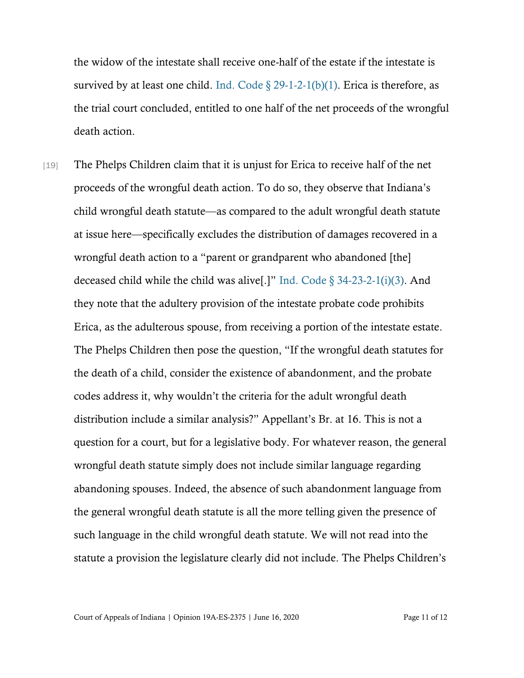the widow of the intestate shall receive one-half of the estate if the intestate is survived by at least one child. Ind. Code  $\S 29-1-2-1(b)(1)$ . Erica is therefore, as the trial court concluded, entitled to one half of the net proceeds of the wrongful death action.

[19] The Phelps Children claim that it is unjust for Erica to receive half of the net proceeds of the wrongful death action. To do so, they observe that Indiana's child wrongful death statute—as compared to the adult wrongful death statute at issue here—specifically excludes the distribution of damages recovered in a wrongful death action to a "parent or grandparent who abandoned [the] deceased child while the child was alive[.]" Ind. Code  $\S 34-23-2-1(i)(3)$ . And they note that the adultery provision of the intestate probate code prohibits Erica, as the adulterous spouse, from receiving a portion of the intestate estate. The Phelps Children then pose the question, "If the wrongful death statutes for the death of a child, consider the existence of abandonment, and the probate codes address it, why wouldn't the criteria for the adult wrongful death distribution include a similar analysis?" Appellant's Br. at 16. This is not a question for a court, but for a legislative body. For whatever reason, the general wrongful death statute simply does not include similar language regarding abandoning spouses. Indeed, the absence of such abandonment language from the general wrongful death statute is all the more telling given the presence of such language in the child wrongful death statute. We will not read into the statute a provision the legislature clearly did not include. The Phelps Children's